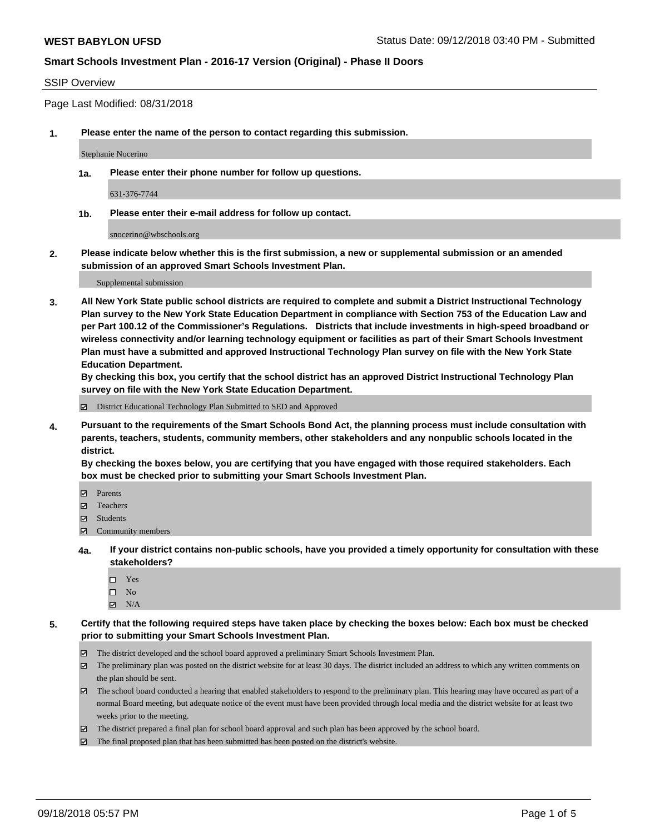### SSIP Overview

Page Last Modified: 08/31/2018

**1. Please enter the name of the person to contact regarding this submission.**

Stephanie Nocerino

**1a. Please enter their phone number for follow up questions.**

631-376-7744

**1b. Please enter their e-mail address for follow up contact.**

snocerino@wbschools.org

**2. Please indicate below whether this is the first submission, a new or supplemental submission or an amended submission of an approved Smart Schools Investment Plan.**

Supplemental submission

**3. All New York State public school districts are required to complete and submit a District Instructional Technology Plan survey to the New York State Education Department in compliance with Section 753 of the Education Law and per Part 100.12 of the Commissioner's Regulations. Districts that include investments in high-speed broadband or wireless connectivity and/or learning technology equipment or facilities as part of their Smart Schools Investment Plan must have a submitted and approved Instructional Technology Plan survey on file with the New York State Education Department.** 

**By checking this box, you certify that the school district has an approved District Instructional Technology Plan survey on file with the New York State Education Department.**

District Educational Technology Plan Submitted to SED and Approved

**4. Pursuant to the requirements of the Smart Schools Bond Act, the planning process must include consultation with parents, teachers, students, community members, other stakeholders and any nonpublic schools located in the district.** 

**By checking the boxes below, you are certifying that you have engaged with those required stakeholders. Each box must be checked prior to submitting your Smart Schools Investment Plan.**

- Parents
- Teachers
- Students
- $\Xi$  Community members
- **4a. If your district contains non-public schools, have you provided a timely opportunity for consultation with these stakeholders?**
	- Yes
	- $\square$  No
	- $\boxtimes$  N/A
- **5. Certify that the following required steps have taken place by checking the boxes below: Each box must be checked prior to submitting your Smart Schools Investment Plan.**
	- The district developed and the school board approved a preliminary Smart Schools Investment Plan.
	- $\boxtimes$  The preliminary plan was posted on the district website for at least 30 days. The district included an address to which any written comments on the plan should be sent.
	- $\boxtimes$  The school board conducted a hearing that enabled stakeholders to respond to the preliminary plan. This hearing may have occured as part of a normal Board meeting, but adequate notice of the event must have been provided through local media and the district website for at least two weeks prior to the meeting.
	- The district prepared a final plan for school board approval and such plan has been approved by the school board.
	- $\boxtimes$  The final proposed plan that has been submitted has been posted on the district's website.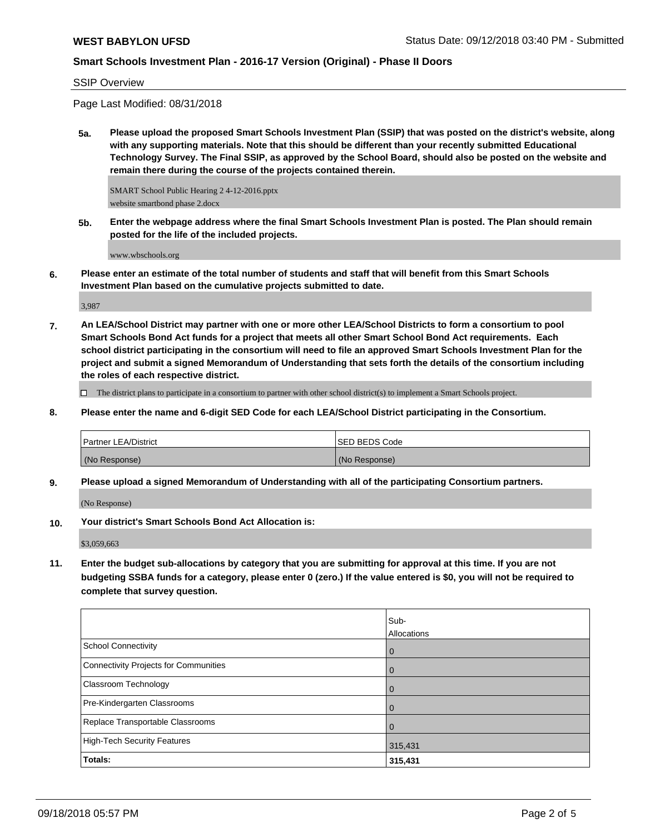SSIP Overview

Page Last Modified: 08/31/2018

**5a. Please upload the proposed Smart Schools Investment Plan (SSIP) that was posted on the district's website, along with any supporting materials. Note that this should be different than your recently submitted Educational Technology Survey. The Final SSIP, as approved by the School Board, should also be posted on the website and remain there during the course of the projects contained therein.**

SMART School Public Hearing 2 4-12-2016.pptx website smartbond phase 2.docx

**5b. Enter the webpage address where the final Smart Schools Investment Plan is posted. The Plan should remain posted for the life of the included projects.**

www.wbschools.org

**6. Please enter an estimate of the total number of students and staff that will benefit from this Smart Schools Investment Plan based on the cumulative projects submitted to date.**

3,987

**7. An LEA/School District may partner with one or more other LEA/School Districts to form a consortium to pool Smart Schools Bond Act funds for a project that meets all other Smart School Bond Act requirements. Each school district participating in the consortium will need to file an approved Smart Schools Investment Plan for the project and submit a signed Memorandum of Understanding that sets forth the details of the consortium including the roles of each respective district.**

 $\Box$  The district plans to participate in a consortium to partner with other school district(s) to implement a Smart Schools project.

**8. Please enter the name and 6-digit SED Code for each LEA/School District participating in the Consortium.**

| <b>Partner LEA/District</b> | <b>ISED BEDS Code</b> |
|-----------------------------|-----------------------|
| (No Response)               | (No Response)         |

**9. Please upload a signed Memorandum of Understanding with all of the participating Consortium partners.**

(No Response)

**10. Your district's Smart Schools Bond Act Allocation is:**

\$3,059,663

**11. Enter the budget sub-allocations by category that you are submitting for approval at this time. If you are not budgeting SSBA funds for a category, please enter 0 (zero.) If the value entered is \$0, you will not be required to complete that survey question.**

|                                              | Sub-        |
|----------------------------------------------|-------------|
|                                              | Allocations |
| <b>School Connectivity</b>                   | l 0         |
| <b>Connectivity Projects for Communities</b> | l O         |
| Classroom Technology                         | $\Omega$    |
| Pre-Kindergarten Classrooms                  | l O         |
| Replace Transportable Classrooms             |             |
| <b>High-Tech Security Features</b>           | 315,431     |
| Totals:                                      | 315,431     |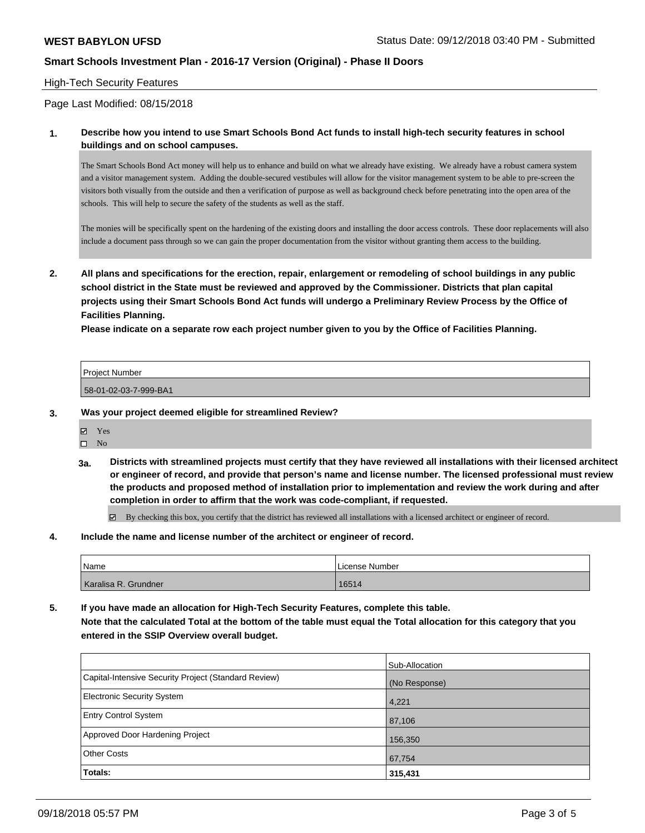### High-Tech Security Features

Page Last Modified: 08/15/2018

### **1. Describe how you intend to use Smart Schools Bond Act funds to install high-tech security features in school buildings and on school campuses.**

The Smart Schools Bond Act money will help us to enhance and build on what we already have existing. We already have a robust camera system and a visitor management system. Adding the double-secured vestibules will allow for the visitor management system to be able to pre-screen the visitors both visually from the outside and then a verification of purpose as well as background check before penetrating into the open area of the schools. This will help to secure the safety of the students as well as the staff.

The monies will be specifically spent on the hardening of the existing doors and installing the door access controls. These door replacements will also include a document pass through so we can gain the proper documentation from the visitor without granting them access to the building.

**2. All plans and specifications for the erection, repair, enlargement or remodeling of school buildings in any public school district in the State must be reviewed and approved by the Commissioner. Districts that plan capital projects using their Smart Schools Bond Act funds will undergo a Preliminary Review Process by the Office of Facilities Planning.** 

**Please indicate on a separate row each project number given to you by the Office of Facilities Planning.**

| Proic<br>$\sim$<br>ייי<br>umoe |  |
|--------------------------------|--|
|                                |  |

58-01-02-03-7-999-BA1

#### **3. Was your project deemed eligible for streamlined Review?**

Yes

 $\square$  No

**3a. Districts with streamlined projects must certify that they have reviewed all installations with their licensed architect or engineer of record, and provide that person's name and license number. The licensed professional must review the products and proposed method of installation prior to implementation and review the work during and after completion in order to affirm that the work was code-compliant, if requested.**

 $\boxtimes$  By checking this box, you certify that the district has reviewed all installations with a licensed architect or engineer of record.

#### **4. Include the name and license number of the architect or engineer of record.**

| Name                 | License Number |
|----------------------|----------------|
| Karalisa R. Grundner | 16514          |

**5. If you have made an allocation for High-Tech Security Features, complete this table. Note that the calculated Total at the bottom of the table must equal the Total allocation for this category that you entered in the SSIP Overview overall budget.**

|                                                      | Sub-Allocation |
|------------------------------------------------------|----------------|
| Capital-Intensive Security Project (Standard Review) | (No Response)  |
| <b>Electronic Security System</b>                    | 4,221          |
| <b>Entry Control System</b>                          | 87,106         |
| Approved Door Hardening Project                      | 156,350        |
| <b>Other Costs</b>                                   | 67,754         |
| Totals:                                              | 315,431        |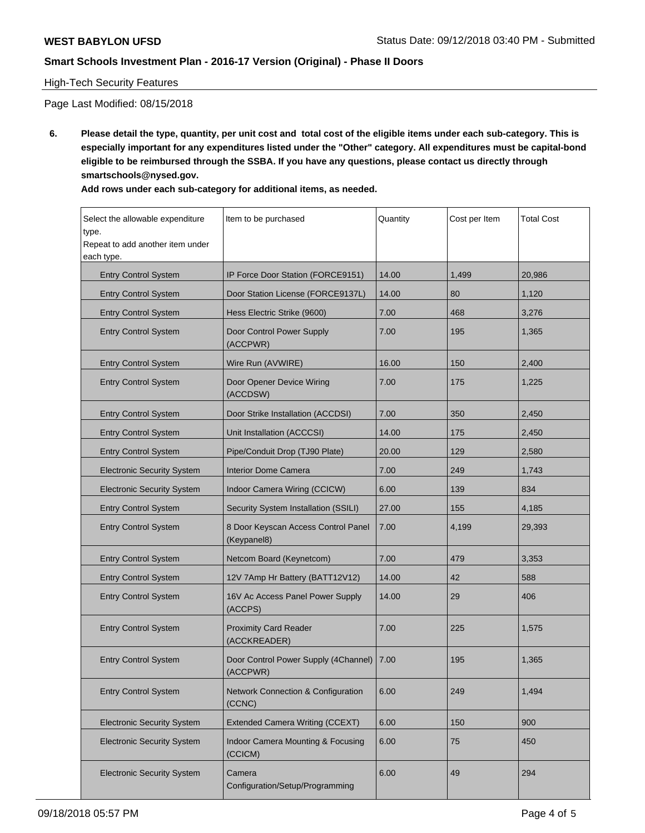## High-Tech Security Features

Page Last Modified: 08/15/2018

**6. Please detail the type, quantity, per unit cost and total cost of the eligible items under each sub-category. This is especially important for any expenditures listed under the "Other" category. All expenditures must be capital-bond eligible to be reimbursed through the SSBA. If you have any questions, please contact us directly through smartschools@nysed.gov.**

| Add rows under each sub-category for additional items, as needed. |  |
|-------------------------------------------------------------------|--|
|-------------------------------------------------------------------|--|

| Select the allowable expenditure          | Item to be purchased                               | Quantity | Cost per Item | <b>Total Cost</b> |
|-------------------------------------------|----------------------------------------------------|----------|---------------|-------------------|
| type.<br>Repeat to add another item under |                                                    |          |               |                   |
| each type.                                |                                                    |          |               |                   |
| <b>Entry Control System</b>               | IP Force Door Station (FORCE9151)                  | 14.00    | 1,499         | 20,986            |
| <b>Entry Control System</b>               | Door Station License (FORCE9137L)                  | 14.00    | 80            | 1,120             |
| <b>Entry Control System</b>               | Hess Electric Strike (9600)                        | 7.00     | 468           | 3,276             |
| <b>Entry Control System</b>               | Door Control Power Supply<br>(ACCPWR)              | 7.00     | 195           | 1,365             |
| <b>Entry Control System</b>               | Wire Run (AVWIRE)                                  | 16.00    | 150           | 2,400             |
| <b>Entry Control System</b>               | Door Opener Device Wiring<br>(ACCDSW)              | 7.00     | 175           | 1,225             |
| <b>Entry Control System</b>               | Door Strike Installation (ACCDSI)                  | 7.00     | 350           | 2,450             |
| <b>Entry Control System</b>               | Unit Installation (ACCCSI)                         | 14.00    | 175           | 2,450             |
| <b>Entry Control System</b>               | Pipe/Conduit Drop (TJ90 Plate)                     | 20.00    | 129           | 2,580             |
| <b>Electronic Security System</b>         | <b>Interior Dome Camera</b>                        | 7.00     | 249           | 1,743             |
| <b>Electronic Security System</b>         | Indoor Camera Wiring (CCICW)                       | 6.00     | 139           | 834               |
| <b>Entry Control System</b>               | Security System Installation (SSILI)               | 27.00    | 155           | 4,185             |
| <b>Entry Control System</b>               | 8 Door Keyscan Access Control Panel<br>(Keypanel8) | 7.00     | 4,199         | 29,393            |
| <b>Entry Control System</b>               | Netcom Board (Keynetcom)                           | 7.00     | 479           | 3,353             |
| <b>Entry Control System</b>               | 12V 7Amp Hr Battery (BATT12V12)                    | 14.00    | 42            | 588               |
| <b>Entry Control System</b>               | 16V Ac Access Panel Power Supply<br>(ACCPS)        | 14.00    | 29            | 406               |
| <b>Entry Control System</b>               | <b>Proximity Card Reader</b><br>(ACCKREADER)       | 7.00     | 225           | 1,575             |
| <b>Entry Control System</b>               | Door Control Power Supply (4Channel)<br>(ACCPWR)   | 7.00     | 195           | 1,365             |
| <b>Entry Control System</b>               | Network Connection & Configuration<br>(CCNC)       | 6.00     | 249           | 1,494             |
| <b>Electronic Security System</b>         | <b>Extended Camera Writing (CCEXT)</b>             | 6.00     | 150           | 900               |
| <b>Electronic Security System</b>         | Indoor Camera Mounting & Focusing<br>(CCICM)       | 6.00     | 75            | 450               |
| <b>Electronic Security System</b>         | Camera<br>Configuration/Setup/Programming          | 6.00     | 49            | 294               |